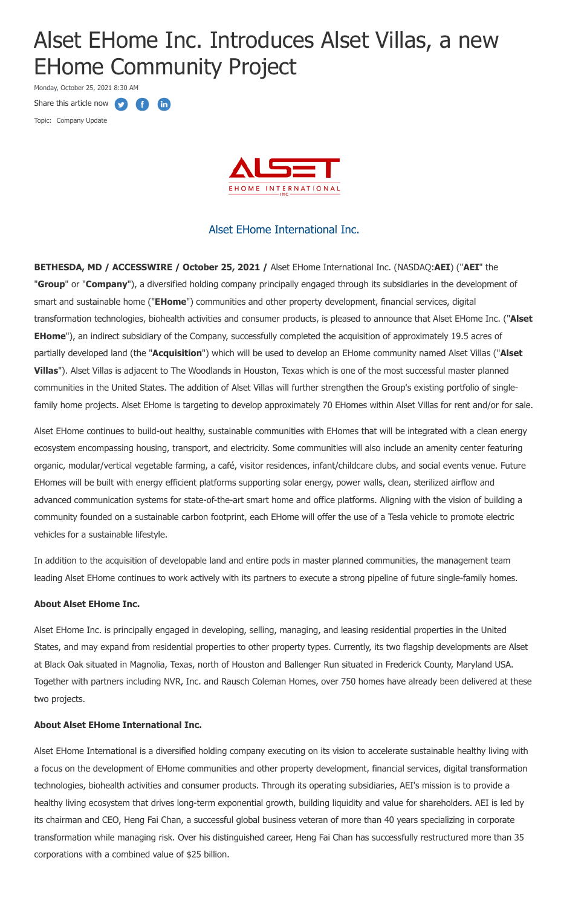# Alset EHome Inc. Introduces Alset Villas, a new EHome Community Project

Monday, October 25, 2021 8:30 AM

Share this article now  $\bullet$ Œ **fin** 

Topic: Company Update



## Alset EHome International Inc.

**BETHESDA, MD / ACCESSWIRE / October 25, 2021 /** Alset EHome International Inc. (NASDAQ:**AEI**) ("**AEI**" the "**Group**" or "**Company**"), a diversified holding company principally engaged through its subsidiaries in the development of smart and sustainable home ("**EHome**") communities and other property development, financial services, digital transformation technologies, biohealth activities and consumer products, is pleased to announce that Alset EHome Inc. ("**Alset EHome**"), an indirect subsidiary of the Company, successfully completed the acquisition of approximately 19.5 acres of partially developed land (the "**Acquisition**") which will be used to develop an EHome community named Alset Villas ("**Alset Villas**"). Alset Villas is adjacent to The Woodlands in Houston, Texas which is one of the most successful master planned communities in the United States. The addition of Alset Villas will further strengthen the Group's existing portfolio of singlefamily home projects. Alset EHome is targeting to develop approximately 70 EHomes within Alset Villas for rent and/or for sale.

Alset EHome continues to build-out healthy, sustainable communities with EHomes that will be integrated with a clean energy ecosystem encompassing housing, transport, and electricity. Some communities will also include an amenity center featuring organic, modular/vertical vegetable farming, a café, visitor residences, infant/childcare clubs, and social events venue. Future EHomes will be built with energy efficient platforms supporting solar energy, power walls, clean, sterilized airflow and advanced communication systems for state-of-the-art smart home and office platforms. Aligning with the vision of building a community founded on a sustainable carbon footprint, each EHome will offer the use of a Tesla vehicle to promote electric vehicles for a sustainable lifestyle.

In addition to the acquisition of developable land and entire pods in master planned communities, the management team leading Alset EHome continues to work actively with its partners to execute a strong pipeline of future single-family homes.

#### **About Alset EHome Inc.**

Alset EHome Inc. is principally engaged in developing, selling, managing, and leasing residential properties in the United States, and may expand from residential properties to other property types. Currently, its two flagship developments are Alset at Black Oak situated in Magnolia, Texas, north of Houston and Ballenger Run situated in Frederick County, Maryland USA. Together with partners including NVR, Inc. and Rausch Coleman Homes, over 750 homes have already been delivered at these two projects.

#### **About Alset EHome International Inc.**

Alset EHome International is a diversified holding company executing on its vision to accelerate sustainable healthy living with a focus on the development of EHome communities and other property development, financial services, digital transformation technologies, biohealth activities and consumer products. Through its operating subsidiaries, AEI's mission is to provide a healthy living ecosystem that drives long-term exponential growth, building liquidity and value for shareholders. AEI is led by its chairman and CEO, Heng Fai Chan, a successful global business veteran of more than 40 years specializing in corporate transformation while managing risk. Over his distinguished career, Heng Fai Chan has successfully restructured more than 35 corporations with a combined value of \$25 billion.